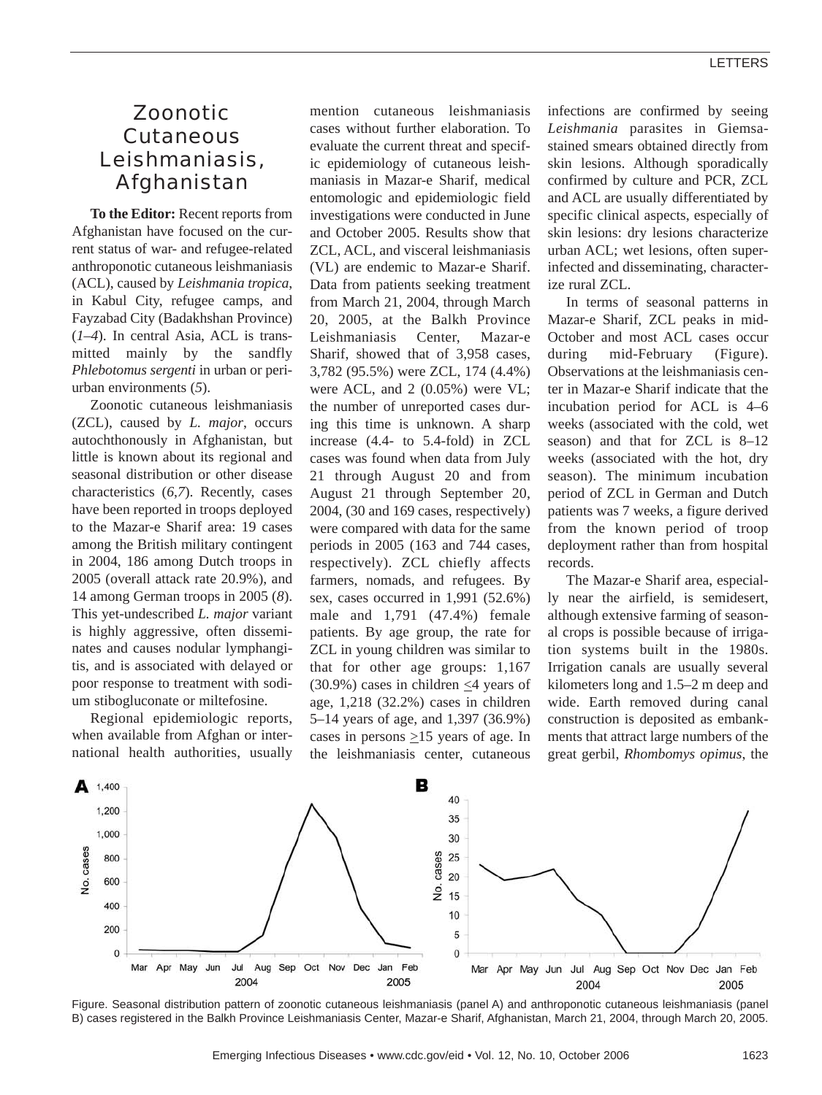# Zoonotic Cutaneous Leishmaniasis, Afghanistan

**To the Editor:** Recent reports from Afghanistan have focused on the current status of war- and refugee-related anthroponotic cutaneous leishmaniasis (ACL), caused by *Leishmania tropica*, in Kabul City, refugee camps, and Fayzabad City (Badakhshan Province) (*1*–*4*). In central Asia, ACL is transmitted mainly by the sandfly *Phlebotomus sergenti* in urban or periurban environments (*5*).

Zoonotic cutaneous leishmaniasis (ZCL), caused by *L. major*, occurs autochthonously in Afghanistan, but little is known about its regional and seasonal distribution or other disease characteristics (*6*,*7*). Recently, cases have been reported in troops deployed to the Mazar-e Sharif area: 19 cases among the British military contingent in 2004, 186 among Dutch troops in 2005 (overall attack rate 20.9%), and 14 among German troops in 2005 (*8*). This yet-undescribed *L. major* variant is highly aggressive, often disseminates and causes nodular lymphangitis, and is associated with delayed or poor response to treatment with sodium stibogluconate or miltefosine.

Regional epidemiologic reports, when available from Afghan or international health authorities, usually mention cutaneous leishmaniasis cases without further elaboration. To evaluate the current threat and specific epidemiology of cutaneous leishmaniasis in Mazar-e Sharif, medical entomologic and epidemiologic field investigations were conducted in June and October 2005. Results show that ZCL, ACL, and visceral leishmaniasis (VL) are endemic to Mazar-e Sharif. Data from patients seeking treatment from March 21, 2004, through March 20, 2005, at the Balkh Province Leishmaniasis Center, Mazar-e Sharif, showed that of 3,958 cases, 3,782 (95.5%) were ZCL, 174 (4.4%) were ACL, and 2 (0.05%) were VL; the number of unreported cases during this time is unknown. A sharp increase (4.4- to 5.4-fold) in ZCL cases was found when data from July 21 through August 20 and from August 21 through September 20, 2004, (30 and 169 cases, respectively) were compared with data for the same periods in 2005 (163 and 744 cases, respectively). ZCL chiefly affects farmers, nomads, and refugees. By sex, cases occurred in 1,991 (52.6%) male and 1,791 (47.4%) female patients. By age group, the rate for ZCL in young children was similar to that for other age groups: 1,167 (30.9%) cases in children  $\leq$ 4 years of age, 1,218 (32.2%) cases in children 5–14 years of age, and 1,397 (36.9%) cases in persons  $\geq$ 15 years of age. In the leishmaniasis center, cutaneous infections are confirmed by seeing *Leishmania* parasites in Giemsastained smears obtained directly from skin lesions. Although sporadically confirmed by culture and PCR, ZCL and ACL are usually differentiated by specific clinical aspects, especially of skin lesions: dry lesions characterize urban ACL; wet lesions, often superinfected and disseminating, characterize rural ZCL.

In terms of seasonal patterns in Mazar-e Sharif, ZCL peaks in mid-October and most ACL cases occur during mid-February (Figure). Observations at the leishmaniasis center in Mazar-e Sharif indicate that the incubation period for ACL is 4–6 weeks (associated with the cold, wet season) and that for ZCL is 8–12 weeks (associated with the hot, dry season). The minimum incubation period of ZCL in German and Dutch patients was 7 weeks, a figure derived from the known period of troop deployment rather than from hospital records.

The Mazar-e Sharif area, especially near the airfield, is semidesert, although extensive farming of seasonal crops is possible because of irrigation systems built in the 1980s. Irrigation canals are usually several kilometers long and 1.5–2 m deep and wide. Earth removed during canal construction is deposited as embankments that attract large numbers of the great gerbil, *Rhombomys opimus*, the



Figure. Seasonal distribution pattern of zoonotic cutaneous leishmaniasis (panel A) and anthroponotic cutaneous leishmaniasis (panel B) cases registered in the Balkh Province Leishmaniasis Center, Mazar-e Sharif, Afghanistan, March 21, 2004, through March 20, 2005.